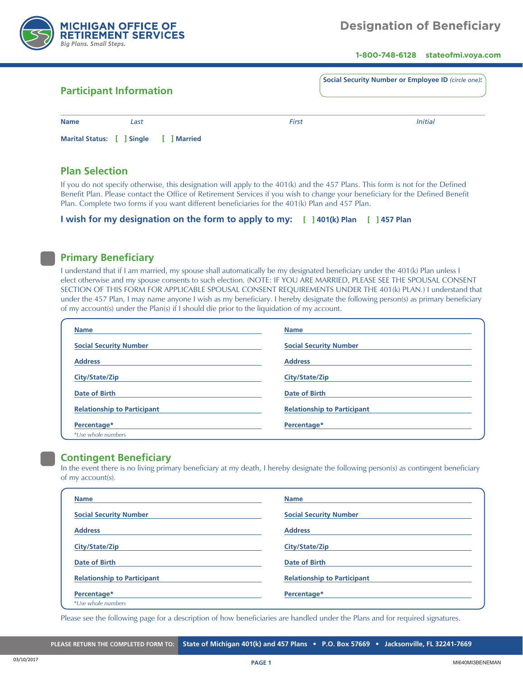

**1-800-748-6128 stateofmi.voya.com**

|                        | <b>Participant Information</b>  | Social Security Number or Employee ID (circle one): |                |
|------------------------|---------------------------------|-----------------------------------------------------|----------------|
| <b>Name</b>            | Last                            | <b>First</b>                                        | <b>Initial</b> |
| <b>Marital Status:</b> | <b>Married</b><br><b>Single</b> |                                                     |                |

## **Plan Selection**

If you do not specify otherwise, this designation will apply to the 401(k) and the 457 Plans. This form is not for the Defined Benefit Plan. Please contact the Office of Retirement Services if you wish to change your beneficiary for the Defined Benefit Plan. Complete two forms if you want different beneficiaries for the 401(k) Plan and 457 Plan.

|  | I wish for my designation on the form to apply to my: [ ] 401(k) Plan [ ] 457 Plan |  |  |  |  |
|--|------------------------------------------------------------------------------------|--|--|--|--|
|--|------------------------------------------------------------------------------------|--|--|--|--|

# **Primary Beneficiary**

I understand that if I am married, my spouse shall automatically be my designated beneficiary under the 401(k) Plan unless I elect otherwise and my spouse consents to such election. (NOTE: IF YOU ARE MARRIED, PLEASE SEE THE SPOUSAL CONSENT SECTION OF THIS FORM FOR APPLICABLE SPOUSAL CONSENT REQUIREMENTS UNDER THE 401(k) PLAN.) I understand that under the 457 Plan, I may name anyone I wish as my beneficiary. I hereby designate the following person(s) as primary beneficiary of my account(s) under the Plan(s) if I should die prior to the liquidation of my account.

| <b>Name</b>                        | <b>Name</b>                        |
|------------------------------------|------------------------------------|
| <b>Social Security Number</b>      | <b>Social Security Number</b>      |
| <b>Address</b>                     | <b>Address</b>                     |
| City/State/Zip                     | City/State/Zip                     |
| <b>Date of Birth</b>               | Date of Birth                      |
| <b>Relationship to Participant</b> | <b>Relationship to Participant</b> |
| Percentage*                        | Percentage*                        |
| *Use whole numbers                 |                                    |

#### **Contingent Beneficiary**

In the event there is no living primary beneficiary at my death, I hereby designate the following person(s) as contingent beneficiary of my account(s).

| <b>Name</b>                        | <b>Name</b>                        |
|------------------------------------|------------------------------------|
| <b>Social Security Number</b>      | <b>Social Security Number</b>      |
| <b>Address</b>                     | <b>Address</b>                     |
| City/State/Zip                     | City/State/Zip                     |
| <b>Date of Birth</b>               | <b>Date of Birth</b>               |
| <b>Relationship to Participant</b> | <b>Relationship to Participant</b> |
| Percentage*<br>*Use whole numbers  | Percentage*                        |

Please see the following page for a description of how beneficiaries are handled under the Plans and for required signatures.